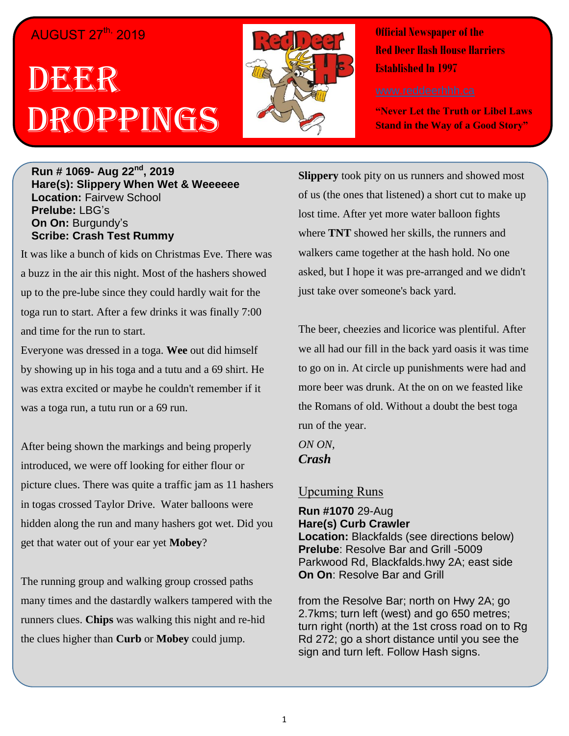## AUGUST 27<sup>th,</sup> 2019

# **DEEGR** Droppings



**Official Newspaper of the Red Deer Hash House Harriers Established In 1997** 

**"Never Let the Truth or Libel Laws Stand in the Way of a Good Story"**

#### **Run # 1069- Aug 22nd, 2019 Hare(s): Slippery When Wet & Weeeeee Location:** Fairvew School **Prelube:** LBG's **On On:** Burgundy's **Scribe: Crash Test Rummy**

It was like a bunch of kids on Christmas Eve. There was a buzz in the air this night. Most of the hashers showed up to the pre-lube since they could hardly wait for the toga run to start. After a few drinks it was finally 7:00 and time for the run to start.

Everyone was dressed in a toga. **Wee** out did himself by showing up in his toga and a tutu and a 69 shirt. He was extra excited or maybe he couldn't remember if it was a toga run, a tutu run or a 69 run.

After being shown the markings and being properly introduced, we were off looking for either flour or picture clues. There was quite a traffic jam as 11 hashers in togas crossed Taylor Drive. Water balloons were hidden along the run and many hashers got wet. Did you get that water out of your ear yet **Mobey**?

The running group and walking group crossed paths many times and the dastardly walkers tampered with the runners clues. **Chips** was walking this night and re-hid the clues higher than **Curb** or **Mobey** could jump.

**Slippery** took pity on us runners and showed most of us (the ones that listened) a short cut to make up lost time. After yet more water balloon fights where **TNT** showed her skills, the runners and walkers came together at the hash hold. No one asked, but I hope it was pre-arranged and we didn't just take over someone's back yard.

The beer, cheezies and licorice was plentiful. After we all had our fill in the back yard oasis it was time to go on in. At circle up punishments were had and more beer was drunk. At the on on we feasted like the Romans of old. Without a doubt the best toga run of the year.

*ON ON, Crash*

#### Upcuming Runs

**Run #1070** 29-Aug **Hare(s) Curb Crawler Location:** Blackfalds (see directions below) **Prelube**: Resolve Bar and Grill -5009 Parkwood Rd, Blackfalds.hwy 2A; east side **On On**: Resolve Bar and Grill

from the Resolve Bar; north on Hwy 2A; go 2.7kms; turn left (west) and go 650 metres; turn right (north) at the 1st cross road on to Rg Rd 272; go a short distance until you see the sign and turn left. Follow Hash signs.